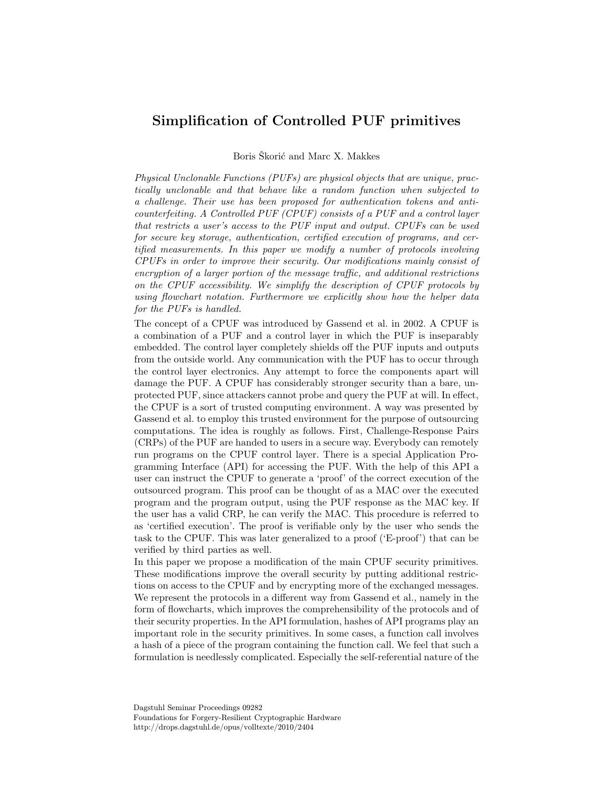## Simplification of Controlled PUF primitives

Boris Skorić and Marc X. Makkes

Physical Unclonable Functions (PUFs) are physical objects that are unique, practically unclonable and that behave like a random function when subjected to a challenge. Their use has been proposed for authentication tokens and anticounterfeiting. A Controlled PUF (CPUF) consists of a PUF and a control layer that restricts a user's access to the PUF input and output. CPUFs can be used for secure key storage, authentication, certified execution of programs, and certified measurements. In this paper we modify a number of protocols involving CPUFs in order to improve their security. Our modifications mainly consist of encryption of a larger portion of the message traffic, and additional restrictions on the CPUF accessibility. We simplify the description of CPUF protocols by using flowchart notation. Furthermore we explicitly show how the helper data for the PUFs is handled.

The concept of a CPUF was introduced by Gassend et al. in 2002. A CPUF is a combination of a PUF and a control layer in which the PUF is inseparably embedded. The control layer completely shields off the PUF inputs and outputs from the outside world. Any communication with the PUF has to occur through the control layer electronics. Any attempt to force the components apart will damage the PUF. A CPUF has considerably stronger security than a bare, unprotected PUF, since attackers cannot probe and query the PUF at will. In effect, the CPUF is a sort of trusted computing environment. A way was presented by Gassend et al. to employ this trusted environment for the purpose of outsourcing computations. The idea is roughly as follows. First, Challenge-Response Pairs (CRPs) of the PUF are handed to users in a secure way. Everybody can remotely run programs on the CPUF control layer. There is a special Application Programming Interface (API) for accessing the PUF. With the help of this API a user can instruct the CPUF to generate a 'proof' of the correct execution of the outsourced program. This proof can be thought of as a MAC over the executed program and the program output, using the PUF response as the MAC key. If the user has a valid CRP, he can verify the MAC. This procedure is referred to as 'certified execution'. The proof is verifiable only by the user who sends the task to the CPUF. This was later generalized to a proof ('E-proof') that can be verified by third parties as well.

In this paper we propose a modification of the main CPUF security primitives. These modifications improve the overall security by putting additional restrictions on access to the CPUF and by encrypting more of the exchanged messages. We represent the protocols in a different way from Gassend et al., namely in the form of flowcharts, which improves the comprehensibility of the protocols and of their security properties. In the API formulation, hashes of API programs play an important role in the security primitives. In some cases, a function call involves a hash of a piece of the program containing the function call. We feel that such a formulation is needlessly complicated. Especially the self-referential nature of the